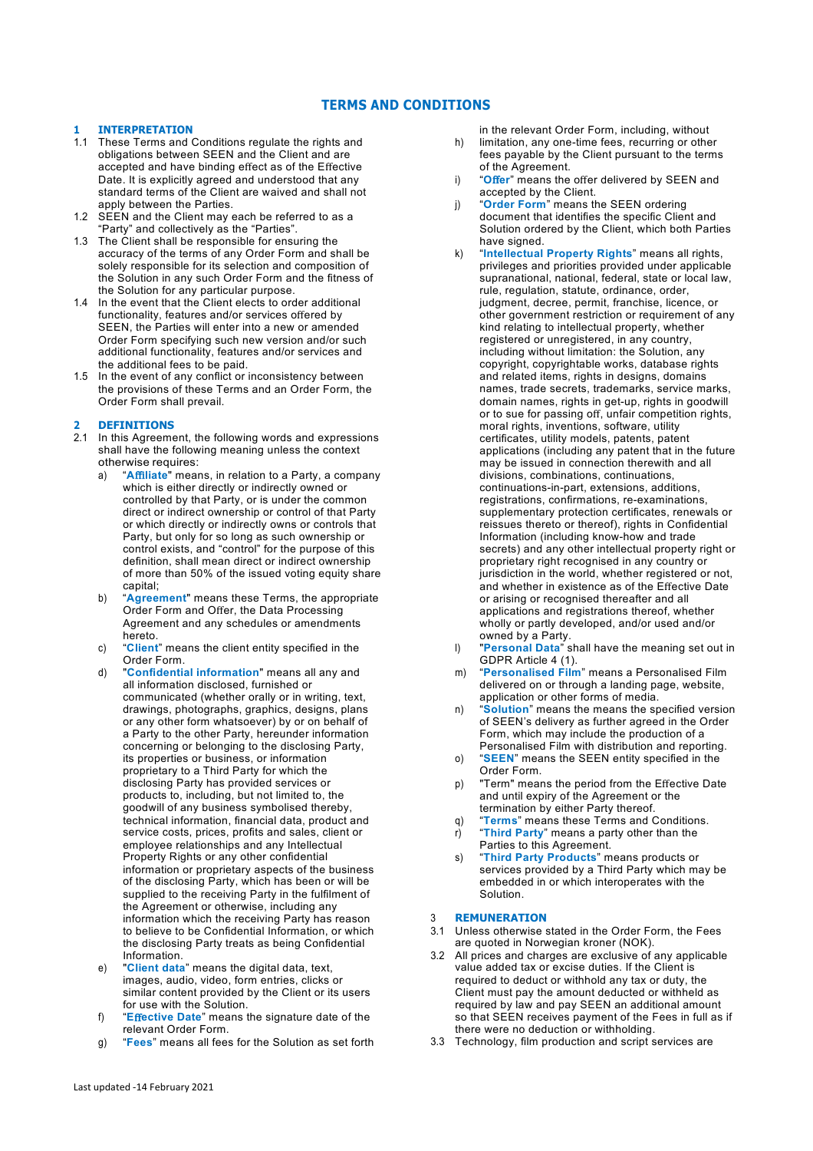# **TERMS AND CONDITIONS**

# **1 INTERPRETATION**

- 1.1 These Terms and Conditions regulate the rights and obligations between SEEN and the Client and are accepted and have binding effect as of the Effective Date. It is explicitly agreed and understood that any standard terms of the Client are waived and shall not apply between the Parties.
- 1.2 SEEN and the Client may each be referred to as a "Party" and collectively as the "Parties".
- 1.3 The Client shall be responsible for ensuring the accuracy of the terms of any Order Form and shall be solely responsible for its selection and composition of the Solution in any such Order Form and the fitness of the Solution for any particular purpose.
- 1.4 In the event that the Client elects to order additional functionality, features and/or services offered by SEEN, the Parties will enter into a new or amended Order Form specifying such new version and/or such additional functionality, features and/or services and the additional fees to be paid.
- 1.5 In the event of any conflict or inconsistency between the provisions of these Terms and an Order Form, the Order Form shall prevail.

# **2 DEFINITIONS**

- 2.1 In this Agreement, the following words and expressions shall have the following meaning unless the context otherwise requires:
	- a) "**A**ffi**liate**" means, in relation to a Party, a company which is either directly or indirectly owned or controlled by that Party, or is under the common direct or indirect ownership or control of that Party or which directly or indirectly owns or controls that Party, but only for so long as such ownership or control exists, and "control" for the purpose of this definition, shall mean direct or indirect ownership of more than 50% of the issued voting equity share capital;
	- b) "**Agreement**" means these Terms, the appropriate Order Form and Offer, the Data Processing Agreement and any schedules or amendments hereto.
	- c) "**Client**" means the client entity specified in the Order Form.
	- d) "**Confidential information**" means all any and all information disclosed, furnished or communicated (whether orally or in writing, text, drawings, photographs, graphics, designs, plans or any other form whatsoever) by or on behalf of a Party to the other Party, hereunder information concerning or belonging to the disclosing Party, its properties or business, or information proprietary to a Third Party for which the disclosing Party has provided services or products to, including, but not limited to, the goodwill of any business symbolised thereby, technical information, financial data, product and service costs, prices, profits and sales, client or employee relationships and any Intellectual Property Rights or any other confidential information or proprietary aspects of the business of the disclosing Party, which has been or will be supplied to the receiving Party in the fulfilment of the Agreement or otherwise, including any information which the receiving Party has reason to believe to be Confidential Information, or which the disclosing Party treats as being Confidential Information.
	- e) "**Client data**" means the digital data, text, images, audio, video, form entries, clicks or similar content provided by the Client or its users for use with the Solution.
	- f) "**E**ff**ective Date**" means the signature date of the relevant Order Form.
	- g) "**Fees**" means all fees for the Solution as set forth

in the relevant Order Form, including, without

- h) limitation, any one-time fees, recurring or other fees payable by the Client pursuant to the terms of the Agreement.
- i) "Offer" means the offer delivered by SEEN and accepted by the Client.
- j) "**Order Form**" means the SEEN ordering document that identifies the specific Client and Solution ordered by the Client, which both Parties have signed.
- k) "**Intellectual Property Rights**" means all rights, privileges and priorities provided under applicable supranational, national, federal, state or local law, rule, regulation, statute, ordinance, order, judgment, decree, permit, franchise, licence, or other government restriction or requirement of any kind relating to intellectual property, whether registered or unregistered, in any country, including without limitation: the Solution, any copyright, copyrightable works, database rights and related items, rights in designs, domains names, trade secrets, trademarks, service marks, domain names, rights in get-up, rights in goodwill or to sue for passing off, unfair competition rights, moral rights, inventions, software, utility certificates, utility models, patents, patent applications (including any patent that in the future may be issued in connection therewith and all divisions, combinations, continuations, continuations-in-part, extensions, additions, registrations, confirmations, re-examinations, supplementary protection certificates, renewals or reissues thereto or thereof), rights in Confidential Information (including know-how and trade secrets) and any other intellectual property right or proprietary right recognised in any country or jurisdiction in the world, whether registered or not, and whether in existence as of the Effective Date or arising or recognised thereafter and all applications and registrations thereof, whether wholly or partly developed, and/or used and/or owned by a Party.
- l) "**Personal Data**" shall have the meaning set out in GDPR Article 4 (1).
- m) "**Personalised Film**" means a Personalised Film delivered on or through a landing page, website, application or other forms of media.
- n) "**Solution**" means the means the specified version of SEEN's delivery as further agreed in the Order Form, which may include the production of a Personalised Film with distribution and reporting.
- o) "**SEEN**" means the SEEN entity specified in the Order Form.
- p) "Term" means the period from the Effective Date and until expiry of the Agreement or the termination by either Party thereof.
- q) **"Terms"** means these Terms and Conditions.<br> **r**) **"Third Party"** means a party other than the r) "**Third Party**" means a party other than the Parties to this Agreement.
- s) "**Third Party Products**" means products or services provided by a Third Party which may be embedded in or which interoperates with the Solution.

# 3 **REMUNERATION**

- 3.1 Unless otherwise stated in the Order Form, the Fees are quoted in Norwegian kroner (NOK).
- 3.2 All prices and charges are exclusive of any applicable value added tax or excise duties. If the Client is required to deduct or withhold any tax or duty, the Client must pay the amount deducted or withheld as required by law and pay SEEN an additional amount so that SEEN receives payment of the Fees in full as if there were no deduction or withholding.
- 3.3 Technology, film production and script services are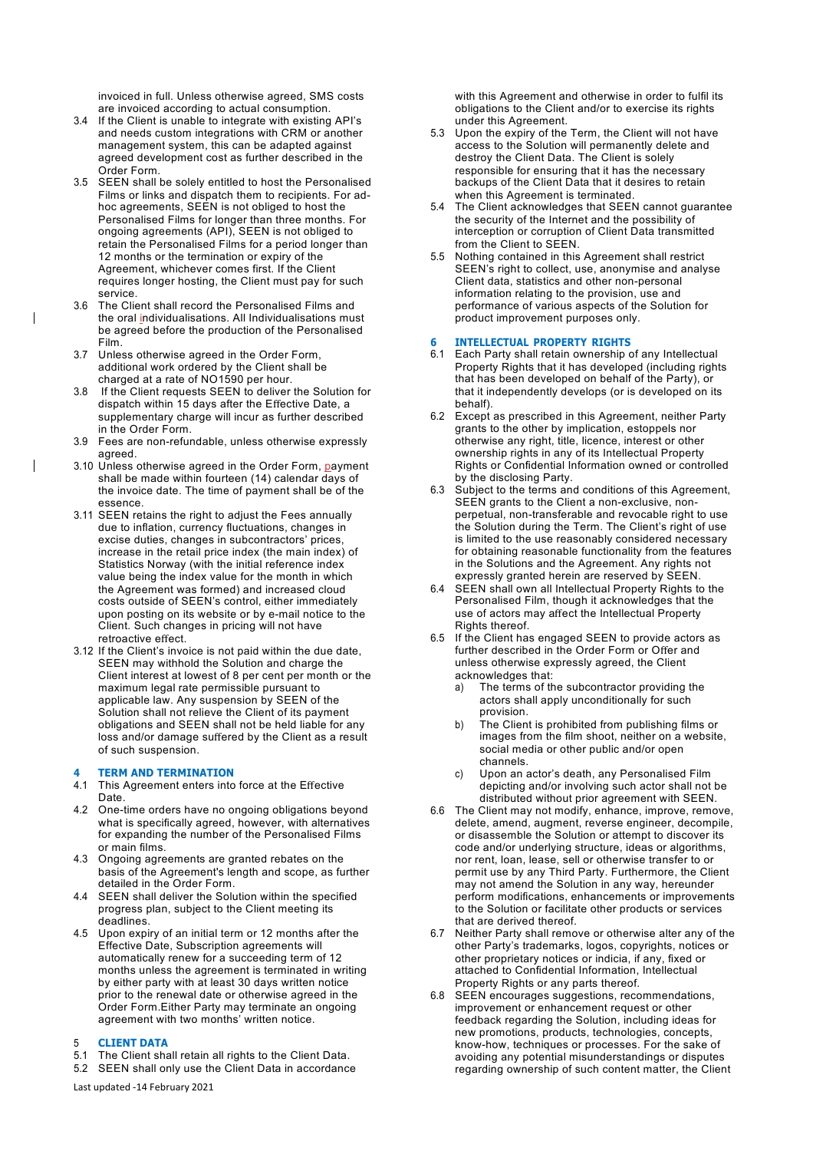invoiced in full. Unless otherwise agreed, SMS costs are invoiced according to actual consumption.

- 3.4 If the Client is unable to integrate with existing API's and needs custom integrations with CRM or another management system, this can be adapted against agreed development cost as further described in the Order Form.
- 3.5 SEEN shall be solely entitled to host the Personalised Films or links and dispatch them to recipients. For adhoc agreements, SEEN is not obliged to host the Personalised Films for longer than three months. For ongoing agreements (API), SEEN is not obliged to retain the Personalised Films for a period longer than 12 months or the termination or expiry of the Agreement, whichever comes first. If the Client requires longer hosting, the Client must pay for such service.
- 3.6 The Client shall record the Personalised Films and the oral individualisations. All Individualisations must be agreed before the production of the Personalised Film.
- 3.7 Unless otherwise agreed in the Order Form, additional work ordered by the Client shall be charged at a rate of NO1590 per hour.
- 3.8 If the Client requests SEEN to deliver the Solution for dispatch within 15 days after the Effective Date, a supplementary charge will incur as further described in the Order Form.
- 3.9 Fees are non-refundable, unless otherwise expressly agreed.
- 3.10 Unless otherwise agreed in the Order Form, payment shall be made within fourteen (14) calendar days of the invoice date. The time of payment shall be of the essence.
- 3.11 SEEN retains the right to adjust the Fees annually due to inflation, currency fluctuations, changes in excise duties, changes in subcontractors' prices, increase in the retail price index (the main index) of Statistics Norway (with the initial reference index value being the index value for the month in which the Agreement was formed) and increased cloud costs outside of SEEN's control, either immediately upon posting on its website or by e-mail notice to the Client. Such changes in pricing will not have retroactive effect.
- 3.12 If the Client's invoice is not paid within the due date, SEEN may withhold the Solution and charge the Client interest at lowest of 8 per cent per month or the maximum legal rate permissible pursuant to applicable law. Any suspension by SEEN of the Solution shall not relieve the Client of its payment obligations and SEEN shall not be held liable for any loss and/or damage suffered by the Client as a result of such suspension.

# **4 TERM AND TERMINATION**

- 4.1 This Agreement enters into force at the Effective Date.
- 4.2 One-time orders have no ongoing obligations beyond what is specifically agreed, however, with alternatives for expanding the number of the Personalised Films or main films.
- 4.3 Ongoing agreements are granted rebates on the basis of the Agreement's length and scope, as further detailed in the Order Form.
- 4.4 SEEN shall deliver the Solution within the specified progress plan, subject to the Client meeting its deadlines.
- 4.5 Upon expiry of an initial term or 12 months after the Effective Date, Subscription agreements will automatically renew for a succeeding term of 12 months unless the agreement is terminated in writing by either party with at least 30 days written notice prior to the renewal date or otherwise agreed in the Order Form.Either Party may terminate an ongoing agreement with two months' written notice.

# 5 **CLIENT DATA**

- 5.1 The Client shall retain all rights to the Client Data.
- 5.2 SEEN shall only use the Client Data in accordance

Last updated -14 February 2021

with this Agreement and otherwise in order to fulfil its obligations to the Client and/or to exercise its rights under this Agreement.

- 5.3 Upon the expiry of the Term, the Client will not have access to the Solution will permanently delete and destroy the Client Data. The Client is solely responsible for ensuring that it has the necessary backups of the Client Data that it desires to retain when this Agreement is terminated.
- 5.4 The Client acknowledges that SEEN cannot guarantee the security of the Internet and the possibility of interception or corruption of Client Data transmitted from the Client to SEEN.
- 5.5 Nothing contained in this Agreement shall restrict SEEN's right to collect, use, anonymise and analyse Client data, statistics and other non-personal information relating to the provision, use and performance of various aspects of the Solution for product improvement purposes only.

# **6 INTELLECTUAL PROPERTY RIGHTS**

- 6.1 Each Party shall retain ownership of any Intellectual Property Rights that it has developed (including rights that has been developed on behalf of the Party), or that it independently develops (or is developed on its behalf).
- 6.2 Except as prescribed in this Agreement, neither Party grants to the other by implication, estoppels nor otherwise any right, title, licence, interest or other ownership rights in any of its Intellectual Property Rights or Confidential Information owned or controlled by the disclosing Party.
- 6.3 Subject to the terms and conditions of this Agreement, SEEN grants to the Client a non-exclusive, nonperpetual, non-transferable and revocable right to use the Solution during the Term. The Client's right of use is limited to the use reasonably considered necessary for obtaining reasonable functionality from the features in the Solutions and the Agreement. Any rights not expressly granted herein are reserved by SEEN.
- 6.4 SEEN shall own all Intellectual Property Rights to the Personalised Film, though it acknowledges that the use of actors may affect the Intellectual Property Rights thereof.
- 6.5 If the Client has engaged SEEN to provide actors as further described in the Order Form or Offer and unless otherwise expressly agreed, the Client acknowledges that:
	- a) The terms of the subcontractor providing the actors shall apply unconditionally for such provision.
	- b) The Client is prohibited from publishing films or images from the film shoot, neither on a website, social media or other public and/or open channels.
	- c) Upon an actor's death, any Personalised Film depicting and/or involving such actor shall not be distributed without prior agreement with SEEN.
- 6.6 The Client may not modify, enhance, improve, remove, delete, amend, augment, reverse engineer, decompile, or disassemble the Solution or attempt to discover its code and/or underlying structure, ideas or algorithms, nor rent, loan, lease, sell or otherwise transfer to or permit use by any Third Party. Furthermore, the Client may not amend the Solution in any way, hereunder perform modifications, enhancements or improvements to the Solution or facilitate other products or services that are derived thereof.
- 6.7 Neither Party shall remove or otherwise alter any of the other Party's trademarks, logos, copyrights, notices or other proprietary notices or indicia, if any, fixed or attached to Confidential Information, Intellectual Property Rights or any parts thereof.
- 6.8 SEEN encourages suggestions, recommendations, improvement or enhancement request or other feedback regarding the Solution, including ideas for new promotions, products, technologies, concepts, know-how, techniques or processes. For the sake of avoiding any potential misunderstandings or disputes regarding ownership of such content matter, the Client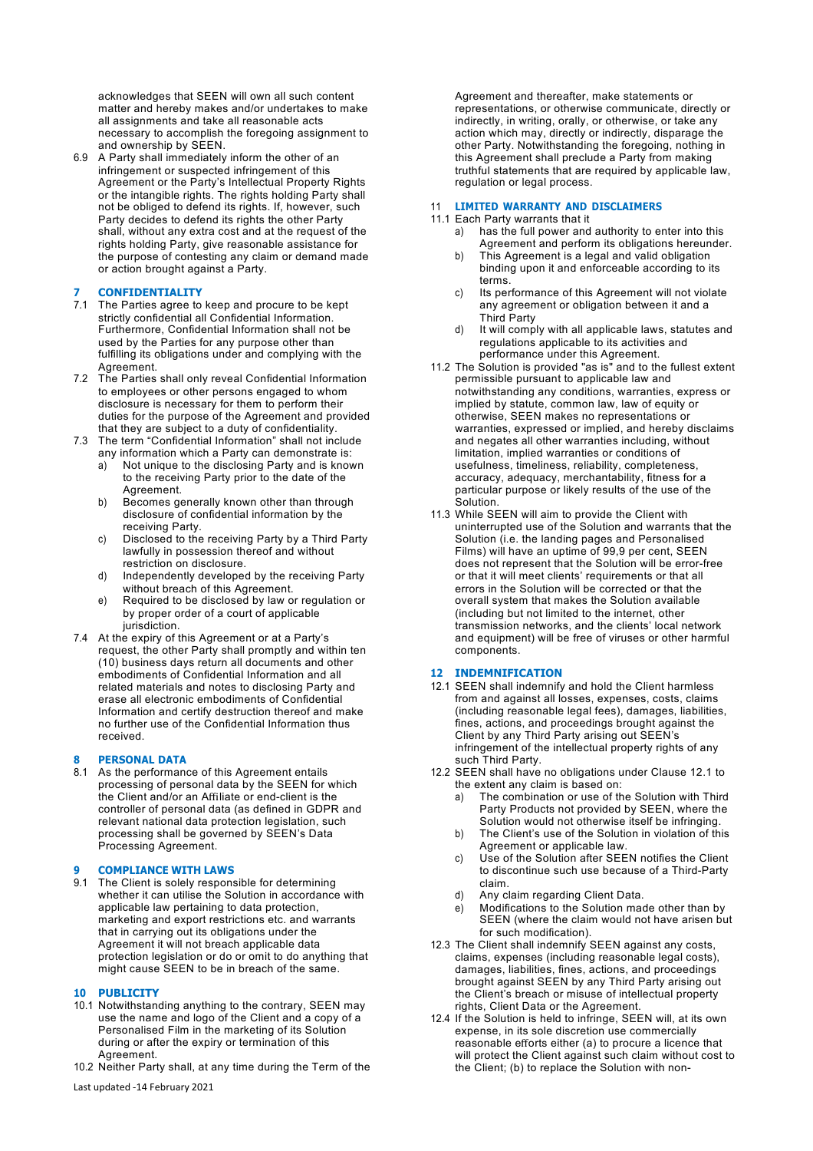acknowledges that SEEN will own all such content matter and hereby makes and/or undertakes to make all assignments and take all reasonable acts necessary to accomplish the foregoing assignment to and ownership by SEEN.

6.9 A Party shall immediately inform the other of an infringement or suspected infringement of this Agreement or the Party's Intellectual Property Rights or the intangible rights. The rights holding Party shall not be obliged to defend its rights. If, however, such Party decides to defend its rights the other Party shall, without any extra cost and at the request of the rights holding Party, give reasonable assistance for the purpose of contesting any claim or demand made or action brought against a Party.

# **7 CONFIDENTIALITY**

- 7.1 The Parties agree to keep and procure to be kept strictly confidential all Confidential Information. Furthermore, Confidential Information shall not be used by the Parties for any purpose other than fulfilling its obligations under and complying with the Agreement.
- 7.2 The Parties shall only reveal Confidential Information to employees or other persons engaged to whom disclosure is necessary for them to perform their duties for the purpose of the Agreement and provided that they are subject to a duty of confidentiality.
- 7.3 The term "Confidential Information" shall not include any information which a Party can demonstrate is:
	- a) Not unique to the disclosing Party and is known to the receiving Party prior to the date of the Agreement.
	- b) Becomes generally known other than through disclosure of confidential information by the receiving Party.
	- c) Disclosed to the receiving Party by a Third Party lawfully in possession thereof and without restriction on disclosure.
	- d) Independently developed by the receiving Party without breach of this Agreement.
	- e) Required to be disclosed by law or regulation or by proper order of a court of applicable jurisdiction.
- 7.4 At the expiry of this Agreement or at a Party's request, the other Party shall promptly and within ten (10) business days return all documents and other embodiments of Confidential Information and all related materials and notes to disclosing Party and erase all electronic embodiments of Confidential Information and certify destruction thereof and make no further use of the Confidential Information thus received.

# **8 PERSONAL DATA**

8.1 As the performance of this Agreement entails processing of personal data by the SEEN for which the Client and/or an Affiliate or end-client is the controller of personal data (as defined in GDPR and relevant national data protection legislation, such processing shall be governed by SEEN's Data Processing Agreement.

# **9 COMPLIANCE WITH LAWS**

9.1 The Client is solely responsible for determining whether it can utilise the Solution in accordance with applicable law pertaining to data protection, marketing and export restrictions etc. and warrants that in carrying out its obligations under the Agreement it will not breach applicable data protection legislation or do or omit to do anything that might cause SEEN to be in breach of the same.

# **10 PUBLICITY**

- 10.1 Notwithstanding anything to the contrary, SEEN may use the name and logo of the Client and a copy of a Personalised Film in the marketing of its Solution during or after the expiry or termination of this Agreement.
- 10.2 Neither Party shall, at any time during the Term of the

Last updated -14 February 2021

Agreement and thereafter, make statements or representations, or otherwise communicate, directly or indirectly, in writing, orally, or otherwise, or take any action which may, directly or indirectly, disparage the other Party. Notwithstanding the foregoing, nothing in this Agreement shall preclude a Party from making truthful statements that are required by applicable law, regulation or legal process.

#### 11 **LIMITED WARRANTY AND DISCLAIMERS**

### 11.1 Each Party warrants that it

- a) has the full power and authority to enter into this Agreement and perform its obligations hereunder.
- b) This Agreement is a legal and valid obligation binding upon it and enforceable according to its terms.
- c) Its performance of this Agreement will not violate any agreement or obligation between it and a Third Party
- d) It will comply with all applicable laws, statutes and regulations applicable to its activities and performance under this Agreement.
- 11.2 The Solution is provided "as is" and to the fullest extent permissible pursuant to applicable law and notwithstanding any conditions, warranties, express or implied by statute, common law, law of equity or otherwise, SEEN makes no representations or warranties, expressed or implied, and hereby disclaims and negates all other warranties including, without limitation, implied warranties or conditions of usefulness, timeliness, reliability, completeness, accuracy, adequacy, merchantability, fitness for a particular purpose or likely results of the use of the Solution.
- 11.3 While SEEN will aim to provide the Client with uninterrupted use of the Solution and warrants that the Solution (i.e. the landing pages and Personalised Films) will have an uptime of 99,9 per cent, SEEN does not represent that the Solution will be error-free or that it will meet clients' requirements or that all errors in the Solution will be corrected or that the overall system that makes the Solution available (including but not limited to the internet, other transmission networks, and the clients' local network and equipment) will be free of viruses or other harmful components.

# **12 INDEMNIFICATION**

- 12.1 SEEN shall indemnify and hold the Client harmless from and against all losses, expenses, costs, claims (including reasonable legal fees), damages, liabilities, fines, actions, and proceedings brought against the Client by any Third Party arising out SEEN's infringement of the intellectual property rights of any such Third Party.
- 12.2 SEEN shall have no obligations under Clause 12.1 to the extent any claim is based on:
	- a) The combination or use of the Solution with Third Party Products not provided by SEEN, where the Solution would not otherwise itself be infringing.
	- b) The Client's use of the Solution in violation of this Agreement or applicable law.
	- c) Use of the Solution after SEEN notifies the Client to discontinue such use because of a Third-Party claim.
	- d) Any claim regarding Client Data.
	- e) Modifications to the Solution made other than by SEEN (where the claim would not have arisen but for such modification).
- 12.3 The Client shall indemnify SEEN against any costs, claims, expenses (including reasonable legal costs), damages, liabilities, fines, actions, and proceedings brought against SEEN by any Third Party arising out the Client's breach or misuse of intellectual property rights, Client Data or the Agreement.
- 12.4 If the Solution is held to infringe, SEEN will, at its own expense, in its sole discretion use commercially reasonable efforts either (a) to procure a licence that will protect the Client against such claim without cost to the Client; (b) to replace the Solution with non-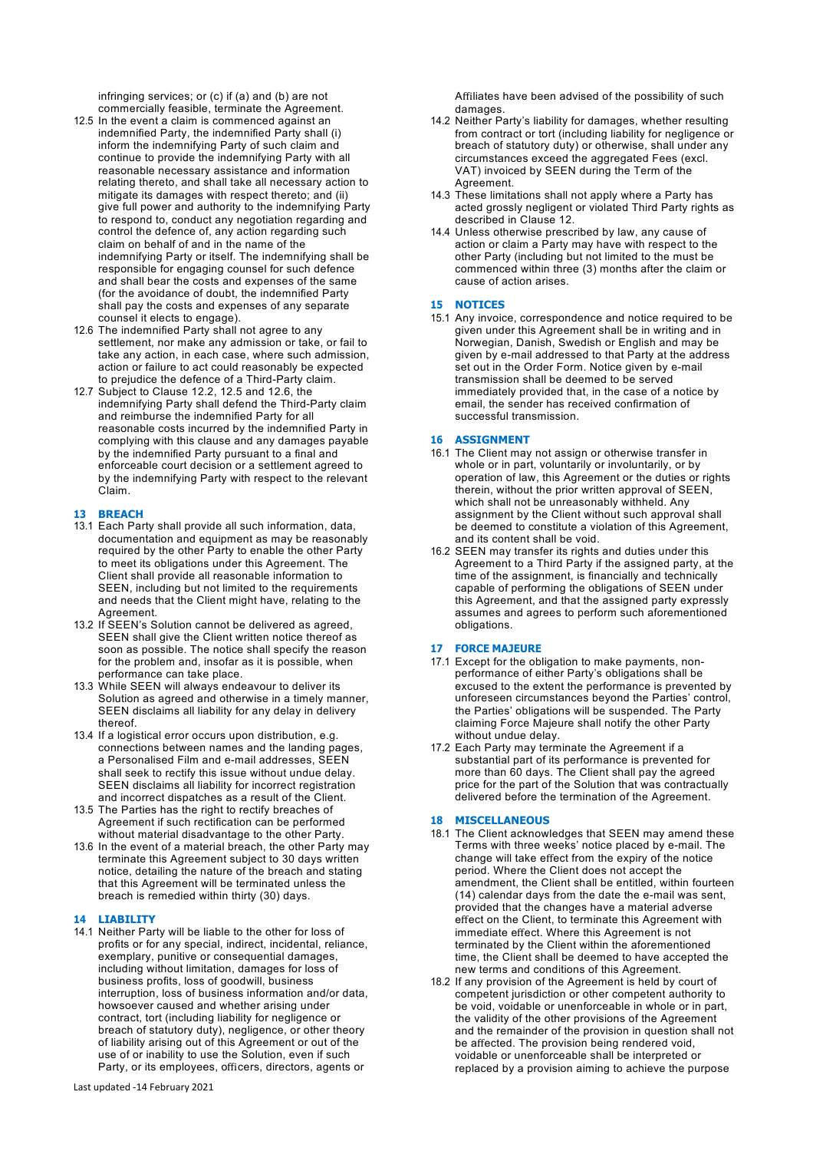infringing services; or (c) if (a) and (b) are not commercially feasible, terminate the Agreement.

- 12.5 In the event a claim is commenced against an indemnified Party, the indemnified Party shall (i) inform the indemnifying Party of such claim and continue to provide the indemnifying Party with all reasonable necessary assistance and information relating thereto, and shall take all necessary action to mitigate its damages with respect thereto; and (ii) give full power and authority to the indemnifying Party to respond to, conduct any negotiation regarding and control the defence of, any action regarding such claim on behalf of and in the name of the indemnifying Party or itself. The indemnifying shall be responsible for engaging counsel for such defence and shall bear the costs and expenses of the same (for the avoidance of doubt, the indemnified Party shall pay the costs and expenses of any separate counsel it elects to engage).
- 12.6 The indemnified Party shall not agree to any settlement, nor make any admission or take, or fail to take any action, in each case, where such admission, action or failure to act could reasonably be expected to prejudice the defence of a Third-Party claim.
- 12.7 Subject to Clause 12.2, 12.5 and 12.6, the indemnifying Party shall defend the Third-Party claim and reimburse the indemnified Party for all reasonable costs incurred by the indemnified Party in complying with this clause and any damages payable by the indemnified Party pursuant to a final and enforceable court decision or a settlement agreed to by the indemnifying Party with respect to the relevant Claim.

# **13 BREACH**

- 13.1 Each Party shall provide all such information, data, documentation and equipment as may be reasonably required by the other Party to enable the other Party to meet its obligations under this Agreement. The Client shall provide all reasonable information to SEEN, including but not limited to the requirements and needs that the Client might have, relating to the Agreement.
- 13.2 If SEEN's Solution cannot be delivered as agreed, SEEN shall give the Client written notice thereof as soon as possible. The notice shall specify the reason for the problem and, insofar as it is possible, when performance can take place.
- 13.3 While SEEN will always endeavour to deliver its Solution as agreed and otherwise in a timely manner, SEEN disclaims all liability for any delay in delivery thereof.
- 13.4 If a logistical error occurs upon distribution, e.g. connections between names and the landing pages, a Personalised Film and e-mail addresses, SEEN shall seek to rectify this issue without undue delay. SEEN disclaims all liability for incorrect registration and incorrect dispatches as a result of the Client.
- 13.5 The Parties has the right to rectify breaches of Agreement if such rectification can be performed without material disadvantage to the other Party.
- 13.6 In the event of a material breach, the other Party may terminate this Agreement subject to 30 days written notice, detailing the nature of the breach and stating that this Agreement will be terminated unless the breach is remedied within thirty (30) days.

# **14 LIABILITY**

14.1 Neither Party will be liable to the other for loss of profits or for any special, indirect, incidental, reliance, exemplary, punitive or consequential damages, including without limitation, damages for loss of business profits, loss of goodwill, business interruption, loss of business information and/or data, howsoever caused and whether arising under contract, tort (including liability for negligence or breach of statutory duty), negligence, or other theory of liability arising out of this Agreement or out of the use of or inability to use the Solution, even if such Party, or its employees, officers, directors, agents or

Affiliates have been advised of the possibility of such damages.

- 14.2 Neither Party's liability for damages, whether resulting from contract or tort (including liability for negligence or breach of statutory duty) or otherwise, shall under any circumstances exceed the aggregated Fees (excl. VAT) invoiced by SEEN during the Term of the Agreement.
- 14.3 These limitations shall not apply where a Party has acted grossly negligent or violated Third Party rights as described in Clause 12.
- 14.4 Unless otherwise prescribed by law, any cause of action or claim a Party may have with respect to the other Party (including but not limited to the must be commenced within three (3) months after the claim or cause of action arises.

# **15 NOTICES**

15.1 Any invoice, correspondence and notice required to be given under this Agreement shall be in writing and in Norwegian, Danish, Swedish or English and may be given by e-mail addressed to that Party at the address set out in the Order Form. Notice given by e-mail transmission shall be deemed to be served immediately provided that, in the case of a notice by email, the sender has received confirmation of successful transmission.

#### **16 ASSIGNMENT**

- 16.1 The Client may not assign or otherwise transfer in whole or in part, voluntarily or involuntarily, or by operation of law, this Agreement or the duties or rights therein, without the prior written approval of SEEN, which shall not be unreasonably withheld. Any assignment by the Client without such approval shall be deemed to constitute a violation of this Agreement, and its content shall be void.
- 16.2 SEEN may transfer its rights and duties under this Agreement to a Third Party if the assigned party, at the time of the assignment, is financially and technically capable of performing the obligations of SEEN under this Agreement, and that the assigned party expressly assumes and agrees to perform such aforementioned obligations.

#### **17 FORCE MAJEURE**

- 17.1 Except for the obligation to make payments, nonperformance of either Party's obligations shall be excused to the extent the performance is prevented by unforeseen circumstances beyond the Parties' control, the Parties' obligations will be suspended. The Party claiming Force Majeure shall notify the other Party without undue delay.
- 17.2 Each Party may terminate the Agreement if a substantial part of its performance is prevented for more than 60 days. The Client shall pay the agreed price for the part of the Solution that was contractually delivered before the termination of the Agreement.

#### **18 MISCELLANEOUS**

- 18.1 The Client acknowledges that SEEN may amend these Terms with three weeks' notice placed by e-mail. The change will take effect from the expiry of the notice period. Where the Client does not accept the amendment, the Client shall be entitled, within fourteen (14) calendar days from the date the e-mail was sent, provided that the changes have a material adverse effect on the Client, to terminate this Agreement with immediate effect. Where this Agreement is not terminated by the Client within the aforementioned time, the Client shall be deemed to have accepted the new terms and conditions of this Agreement.
- 18.2 If any provision of the Agreement is held by court of competent jurisdiction or other competent authority to be void, voidable or unenforceable in whole or in part, the validity of the other provisions of the Agreement and the remainder of the provision in question shall not be affected. The provision being rendered void, voidable or unenforceable shall be interpreted or replaced by a provision aiming to achieve the purpose